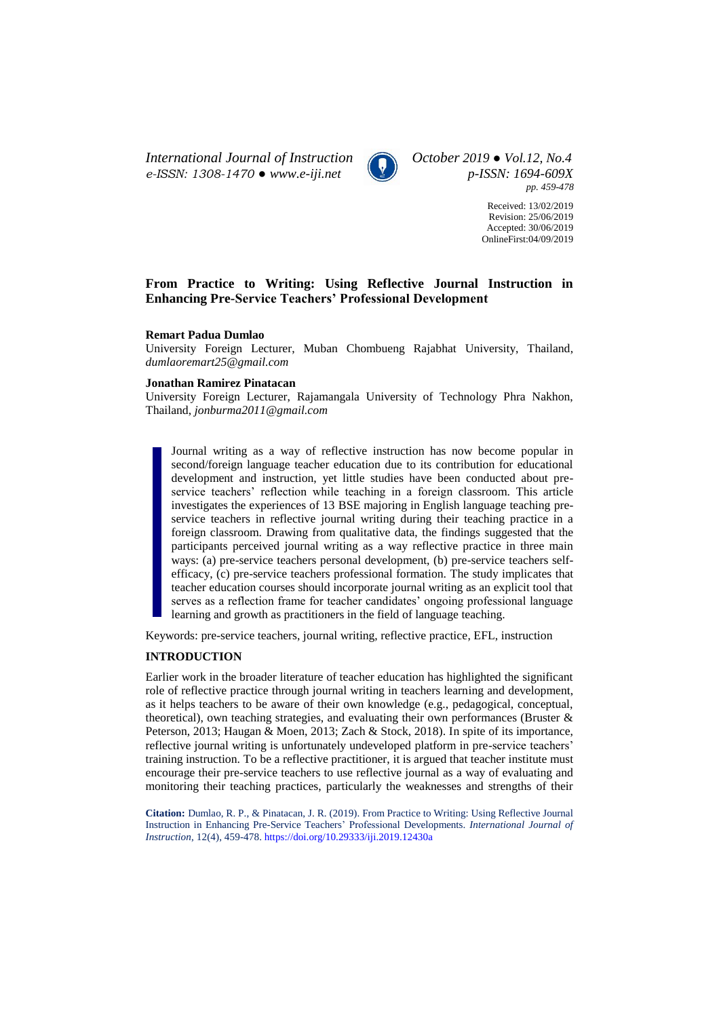*International Journal of Instruction October 2019 ● Vol.12, No.4 e-ISSN: 1308-1470 ● [www.e-iji.net](http://www.e-iji.net/) p-ISSN: 1694-609X*



*pp. 459-478*

Received: 13/02/2019 Revision: 25/06/2019 Accepted: 30/06/2019 OnlineFirst:04/09/2019

# **From Practice to Writing: Using Reflective Journal Instruction in Enhancing Pre-Service Teachers' Professional Development**

### **Remart Padua Dumlao**

University Foreign Lecturer, Muban Chombueng Rajabhat University, Thailand, *dumlaoremart25@gmail.com*

### **Jonathan Ramirez Pinatacan**

University Foreign Lecturer, Rajamangala University of Technology Phra Nakhon, Thailand, *jonburma2011@gmail.com*

Journal writing as a way of reflective instruction has now become popular in second/foreign language teacher education due to its contribution for educational development and instruction, yet little studies have been conducted about preservice teachers' reflection while teaching in a foreign classroom. This article investigates the experiences of 13 BSE majoring in English language teaching preservice teachers in reflective journal writing during their teaching practice in a foreign classroom. Drawing from qualitative data, the findings suggested that the participants perceived journal writing as a way reflective practice in three main ways: (a) pre-service teachers personal development, (b) pre-service teachers selfefficacy, (c) pre-service teachers professional formation. The study implicates that teacher education courses should incorporate journal writing as an explicit tool that serves as a reflection frame for teacher candidates' ongoing professional language learning and growth as practitioners in the field of language teaching.

Keywords: pre-service teachers, journal writing, reflective practice, EFL, instruction

# **INTRODUCTION**

Earlier work in the broader literature of teacher education has highlighted the significant role of reflective practice through journal writing in teachers learning and development, as it helps teachers to be aware of their own knowledge (e.g., pedagogical, conceptual, theoretical), own teaching strategies, and evaluating their own performances (Bruster & Peterson, 2013; Haugan & Moen, 2013; Zach & Stock, 2018). In spite of its importance, reflective journal writing is unfortunately undeveloped platform in pre-service teachers' training instruction. To be a reflective practitioner, it is argued that teacher institute must encourage their pre-service teachers to use reflective journal as a way of evaluating and monitoring their teaching practices, particularly the weaknesses and strengths of their

**Citation:** Dumlao, R. P., & Pinatacan, J. R. (2019). From Practice to Writing: Using Reflective Journal Instruction in Enhancing Pre-Service Teachers' Professional Developments. *International Journal of Instruction*, 12(4), 459-478. <https://doi.org/10.29333/iji.2019.12430a>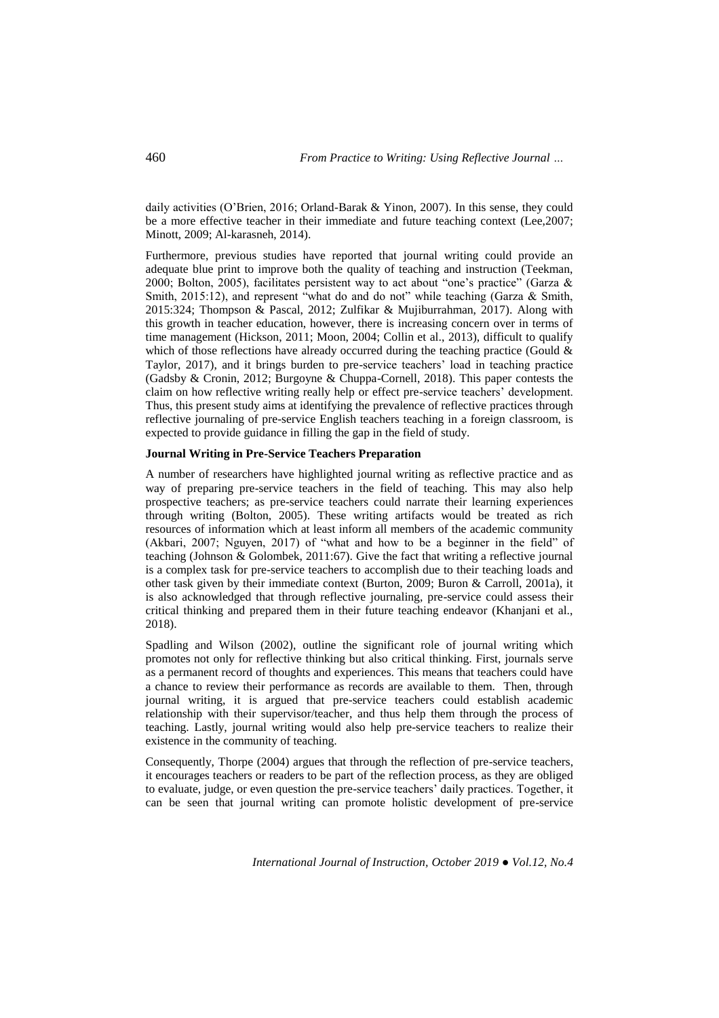daily activities (O'Brien, 2016; Orland-Barak & Yinon, 2007). In this sense, they could be a more effective teacher in their immediate and future teaching context (Lee,2007; Minott, 2009; Al-karasneh, 2014).

Furthermore, previous studies have reported that journal writing could provide an adequate blue print to improve both the quality of teaching and instruction (Teekman, 2000; Bolton, 2005), facilitates persistent way to act about "one's practice" (Garza & Smith, 2015:12), and represent "what do and do not" while teaching (Garza & Smith, 2015:324; Thompson & Pascal, 2012; Zulfikar & Mujiburrahman, 2017). Along with this growth in teacher education, however, there is increasing concern over in terms of time management (Hickson, 2011; Moon, 2004; Collin et al., 2013), difficult to qualify which of those reflections have already occurred during the teaching practice (Gould  $\&$ Taylor, 2017), and it brings burden to pre-service teachers' load in teaching practice (Gadsby & Cronin, 2012; Burgoyne & Chuppa-Cornell, 2018). This paper contests the claim on how reflective writing really help or effect pre-service teachers' development. Thus, this present study aims at identifying the prevalence of reflective practices through reflective journaling of pre-service English teachers teaching in a foreign classroom, is expected to provide guidance in filling the gap in the field of study.

### **Journal Writing in Pre-Service Teachers Preparation**

A number of researchers have highlighted journal writing as reflective practice and as way of preparing pre-service teachers in the field of teaching. This may also help prospective teachers; as pre-service teachers could narrate their learning experiences through writing (Bolton, 2005). These writing artifacts would be treated as rich resources of information which at least inform all members of the academic community (Akbari, 2007; Nguyen, 2017) of "what and how to be a beginner in the field" of teaching (Johnson & Golombek, 2011:67). Give the fact that writing a reflective journal is a complex task for pre-service teachers to accomplish due to their teaching loads and other task given by their immediate context (Burton, 2009; Buron & Carroll, 2001a), it is also acknowledged that through reflective journaling, pre-service could assess their critical thinking and prepared them in their future teaching endeavor (Khanjani et al., 2018).

Spadling and Wilson (2002), outline the significant role of journal writing which promotes not only for reflective thinking but also critical thinking. First, journals serve as a permanent record of thoughts and experiences. This means that teachers could have a chance to review their performance as records are available to them. Then, through journal writing, it is argued that pre-service teachers could establish academic relationship with their supervisor/teacher, and thus help them through the process of teaching. Lastly, journal writing would also help pre-service teachers to realize their existence in the community of teaching.

Consequently, Thorpe (2004) argues that through the reflection of pre-service teachers, it encourages teachers or readers to be part of the reflection process, as they are obliged to evaluate, judge, or even question the pre-service teachers' daily practices. Together, it can be seen that journal writing can promote holistic development of pre-service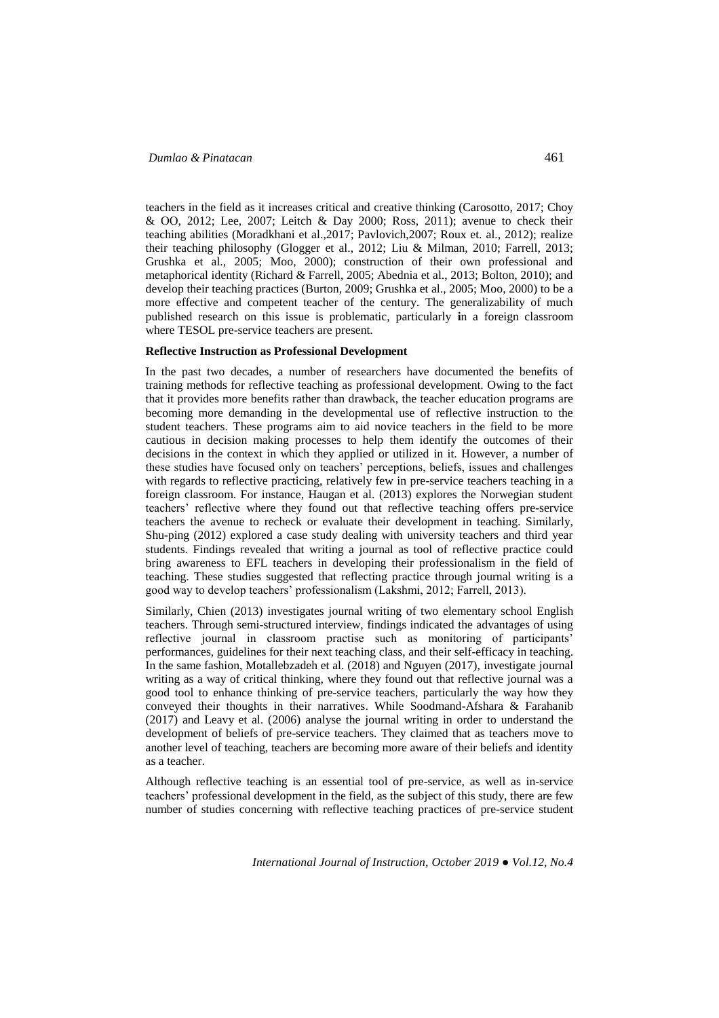teachers in the field as it increases critical and creative thinking (Carosotto, 2017; Choy & OO, 2012; Lee, 2007; Leitch & Day 2000; Ross, 2011); avenue to check their teaching abilities (Moradkhani et al.,2017; Pavlovich,2007; Roux et. al., 2012); realize their teaching philosophy (Glogger et al., 2012; Liu & Milman, 2010; Farrell, 2013; Grushka et al., 2005; Moo, 2000); construction of their own professional and metaphorical identity (Richard & Farrell, 2005; Abednia et al., 2013; Bolton, 2010); and develop their teaching practices (Burton, 2009; Grushka et al., 2005; Moo, 2000) to be a more effective and competent teacher of the century. The generalizability of much published research on this issue is problematic, particularly **i**n a foreign classroom where TESOL pre-service teachers are present.

#### **Reflective Instruction as Professional Development**

In the past two decades, a number of researchers have documented the benefits of training methods for reflective teaching as professional development. Owing to the fact that it provides more benefits rather than drawback, the teacher education programs are becoming more demanding in the developmental use of reflective instruction to the student teachers. These programs aim to aid novice teachers in the field to be more cautious in decision making processes to help them identify the outcomes of their decisions in the context in which they applied or utilized in it. However, a number of these studies have focused only on teachers' perceptions, beliefs, issues and challenges with regards to reflective practicing, relatively few in pre-service teachers teaching in a foreign classroom. For instance, Haugan et al. (2013) explores the Norwegian student teachers' reflective where they found out that reflective teaching offers pre-service teachers the avenue to recheck or evaluate their development in teaching. Similarly, Shu-ping (2012) explored a case study dealing with university teachers and third year students. Findings revealed that writing a journal as tool of reflective practice could bring awareness to EFL teachers in developing their professionalism in the field of teaching. These studies suggested that reflecting practice through journal writing is a good way to develop teachers' professionalism (Lakshmi, 2012; Farrell, 2013).

Similarly, Chien (2013) investigates journal writing of two elementary school English teachers. Through semi-structured interview, findings indicated the advantages of using reflective journal in classroom practise such as monitoring of participants' performances, guidelines for their next teaching class, and their self-efficacy in teaching. In the same fashion, Motallebzadeh et al. (2018) and Nguyen (2017), investigate journal writing as a way of critical thinking, where they found out that reflective journal was a good tool to enhance thinking of pre-service teachers, particularly the way how they conveyed their thoughts in their narratives. While Soodmand-Afshara & Farahanib (2017) and Leavy et al. (2006) analyse the journal writing in order to understand the development of beliefs of pre-service teachers. They claimed that as teachers move to another level of teaching, teachers are becoming more aware of their beliefs and identity as a teacher.

Although reflective teaching is an essential tool of pre-service, as well as in-service teachers' professional development in the field, as the subject of this study, there are few number of studies concerning with reflective teaching practices of pre-service student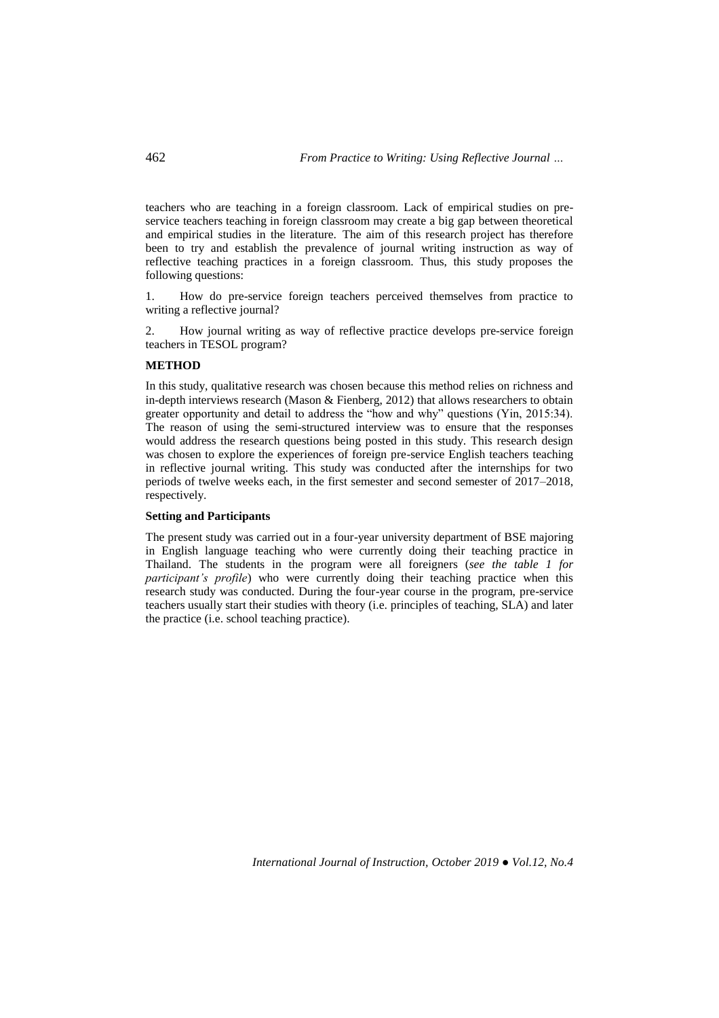teachers who are teaching in a foreign classroom. Lack of empirical studies on preservice teachers teaching in foreign classroom may create a big gap between theoretical and empirical studies in the literature. The aim of this research project has therefore been to try and establish the prevalence of journal writing instruction as way of reflective teaching practices in a foreign classroom. Thus, this study proposes the following questions:

1. How do pre-service foreign teachers perceived themselves from practice to writing a reflective journal?

2. How journal writing as way of reflective practice develops pre-service foreign teachers in TESOL program?

### **METHOD**

In this study, qualitative research was chosen because this method relies on richness and in-depth interviews research (Mason & Fienberg, 2012) that allows researchers to obtain greater opportunity and detail to address the "how and why" questions (Yin, 2015:34). The reason of using the semi-structured interview was to ensure that the responses would address the research questions being posted in this study. This research design was chosen to explore the experiences of foreign pre-service English teachers teaching in reflective journal writing. This study was conducted after the internships for two periods of twelve weeks each, in the first semester and second semester of 2017–2018, respectively.

## **Setting and Participants**

The present study was carried out in a four-year university department of BSE majoring in English language teaching who were currently doing their teaching practice in Thailand. The students in the program were all foreigners (*see the table 1 for participant's profile*) who were currently doing their teaching practice when this research study was conducted. During the four-year course in the program, pre-service teachers usually start their studies with theory (i.e. principles of teaching, SLA) and later the practice (i.e. school teaching practice).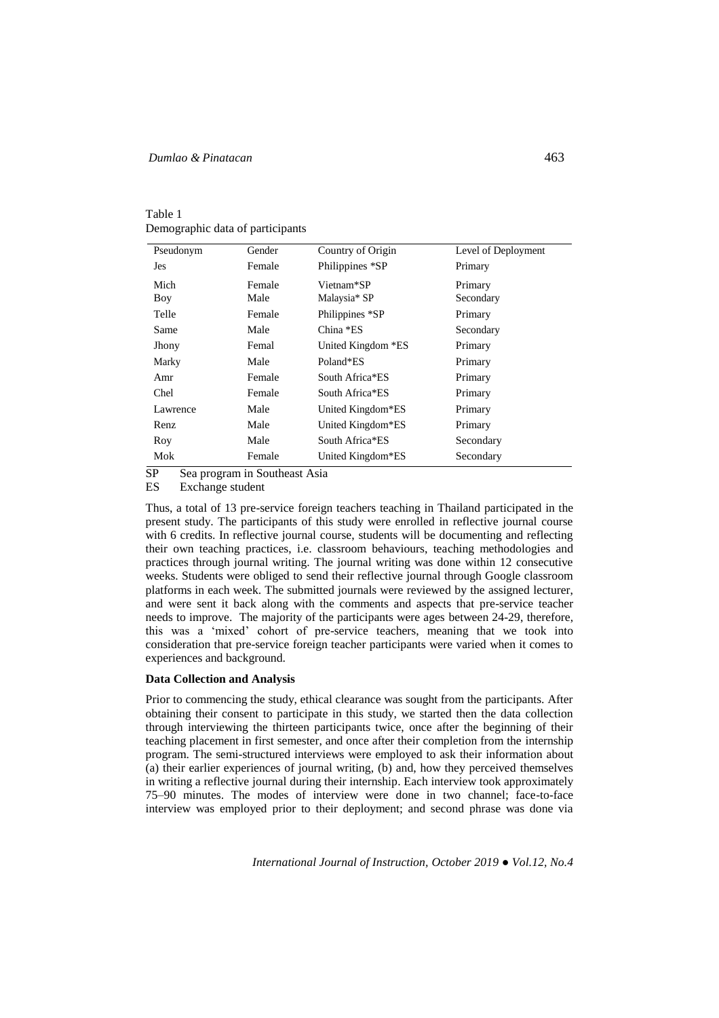| Table 1                          |
|----------------------------------|
| Demographic data of participants |

| Pseudonym | Gender | Country of Origin  | Level of Deployment |
|-----------|--------|--------------------|---------------------|
| Jes       | Female | Philippines *SP    | Primary             |
| Mich      | Female | Vietnam*SP         | Primary             |
| Boy       | Male   | Malaysia* SP       | Secondary           |
| Telle     | Female | Philippines *SP    | Primary             |
| Same      | Male   | China *ES          | Secondary           |
| Jhony     | Femal  | United Kingdom *ES | Primary             |
| Marky     | Male   | Poland*ES          | Primary             |
| Amr       | Female | South Africa*ES    | Primary             |
| Chel      | Female | South Africa*ES    | Primary             |
| Lawrence  | Male   | United Kingdom*ES  | Primary             |
| Renz      | Male   | United Kingdom*ES  | Primary             |
| Roy       | Male   | South Africa*ES    | Secondary           |
| Mok       | Female | United Kingdom*ES  | Secondary           |

SP Sea program in Southeast Asia<br>ES Exchange student

Exchange student

Thus, a total of 13 pre-service foreign teachers teaching in Thailand participated in the present study. The participants of this study were enrolled in reflective journal course with 6 credits. In reflective journal course, students will be documenting and reflecting their own teaching practices, i.e. classroom behaviours, teaching methodologies and practices through journal writing. The journal writing was done within 12 consecutive weeks. Students were obliged to send their reflective journal through Google classroom platforms in each week. The submitted journals were reviewed by the assigned lecturer, and were sent it back along with the comments and aspects that pre-service teacher needs to improve. The majority of the participants were ages between 24-29, therefore, this was a 'mixed' cohort of pre-service teachers, meaning that we took into consideration that pre-service foreign teacher participants were varied when it comes to experiences and background.

# **Data Collection and Analysis**

Prior to commencing the study, ethical clearance was sought from the participants. After obtaining their consent to participate in this study, we started then the data collection through interviewing the thirteen participants twice, once after the beginning of their teaching placement in first semester, and once after their completion from the internship program. The semi-structured interviews were employed to ask their information about (a) their earlier experiences of journal writing, (b) and, how they perceived themselves in writing a reflective journal during their internship. Each interview took approximately 75–90 minutes. The modes of interview were done in two channel; face-to-face interview was employed prior to their deployment; and second phrase was done via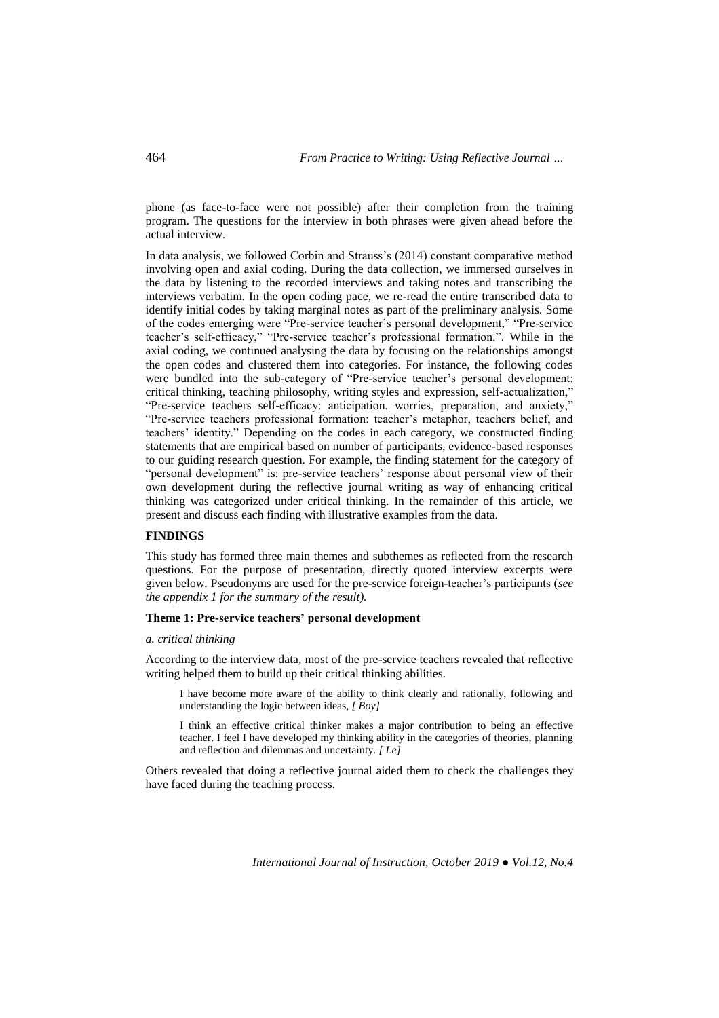phone (as face-to-face were not possible) after their completion from the training program. The questions for the interview in both phrases were given ahead before the actual interview.

In data analysis, we followed Corbin and Strauss's (2014) constant comparative method involving open and axial coding. During the data collection, we immersed ourselves in the data by listening to the recorded interviews and taking notes and transcribing the interviews verbatim. In the open coding pace, we re-read the entire transcribed data to identify initial codes by taking marginal notes as part of the preliminary analysis. Some of the codes emerging were "Pre-service teacher's personal development," "Pre-service teacher's self-efficacy," "Pre-service teacher's professional formation.". While in the axial coding, we continued analysing the data by focusing on the relationships amongst the open codes and clustered them into categories. For instance, the following codes were bundled into the sub-category of "Pre-service teacher's personal development: critical thinking, teaching philosophy, writing styles and expression, self-actualization," "Pre-service teachers self-efficacy: anticipation, worries, preparation, and anxiety," "Pre-service teachers professional formation: teacher's metaphor, teachers belief, and teachers' identity." Depending on the codes in each category, we constructed finding statements that are empirical based on number of participants, evidence-based responses to our guiding research question. For example, the finding statement for the category of "personal development" is: pre-service teachers' response about personal view of their own development during the reflective journal writing as way of enhancing critical thinking was categorized under critical thinking. In the remainder of this article, we present and discuss each finding with illustrative examples from the data.

## **FINDINGS**

This study has formed three main themes and subthemes as reflected from the research questions. For the purpose of presentation, directly quoted interview excerpts were given below. Pseudonyms are used for the pre-service foreign-teacher's participants (*see the appendix 1 for the summary of the result).*

# **Theme 1: Pre-service teachers' personal development**

#### *a. critical thinking*

According to the interview data, most of the pre-service teachers revealed that reflective writing helped them to build up their critical thinking abilities.

I have become more aware of the ability to think clearly and rationally, following and understanding the logic between ideas, *[ Boy]*

I think an effective critical thinker makes a major contribution to being an effective teacher. I feel I have developed my thinking ability in the categories of theories, planning and reflection and dilemmas and uncertainty. *[ Le]*

Others revealed that doing a reflective journal aided them to check the challenges they have faced during the teaching process.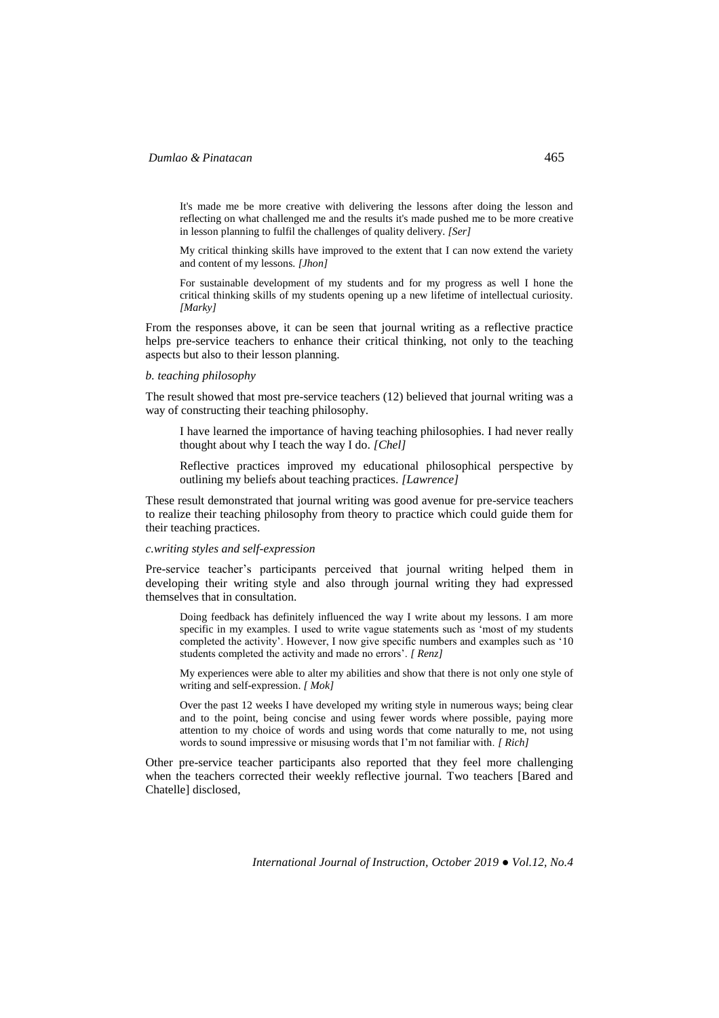It's made me be more creative with delivering the lessons after doing the lesson and reflecting on what challenged me and the results it's made pushed me to be more creative in lesson planning to fulfil the challenges of quality delivery. *[Ser]*

My critical thinking skills have improved to the extent that I can now extend the variety and content of my lessons. *[Jhon]*

For sustainable development of my students and for my progress as well I hone the critical thinking skills of my students opening up a new lifetime of intellectual curiosity. *[Marky]*

From the responses above, it can be seen that journal writing as a reflective practice helps pre-service teachers to enhance their critical thinking, not only to the teaching aspects but also to their lesson planning.

### *b. teaching philosophy*

The result showed that most pre-service teachers (12) believed that journal writing was a way of constructing their teaching philosophy.

I have learned the importance of having teaching philosophies. I had never really thought about why I teach the way I do*. [Chel]*

Reflective practices improved my educational philosophical perspective by outlining my beliefs about teaching practices. *[Lawrence]*

These result demonstrated that journal writing was good avenue for pre-service teachers to realize their teaching philosophy from theory to practice which could guide them for their teaching practices.

### *c.writing styles and self-expression*

Pre-service teacher's participants perceived that journal writing helped them in developing their writing style and also through journal writing they had expressed themselves that in consultation.

Doing feedback has definitely influenced the way I write about my lessons. I am more specific in my examples. I used to write vague statements such as 'most of my students completed the activity'. However, I now give specific numbers and examples such as '10 students completed the activity and made no errors'. *[ Renz]*

My experiences were able to alter my abilities and show that there is not only one style of writing and self-expression. *[ Mok]*

Over the past 12 weeks I have developed my writing style in numerous ways; being clear and to the point, being concise and using fewer words where possible, paying more attention to my choice of words and using words that come naturally to me, not using words to sound impressive or misusing words that I'm not familiar with. *[ Rich]*

Other pre-service teacher participants also reported that they feel more challenging when the teachers corrected their weekly reflective journal. Two teachers [Bared and Chatelle] disclosed,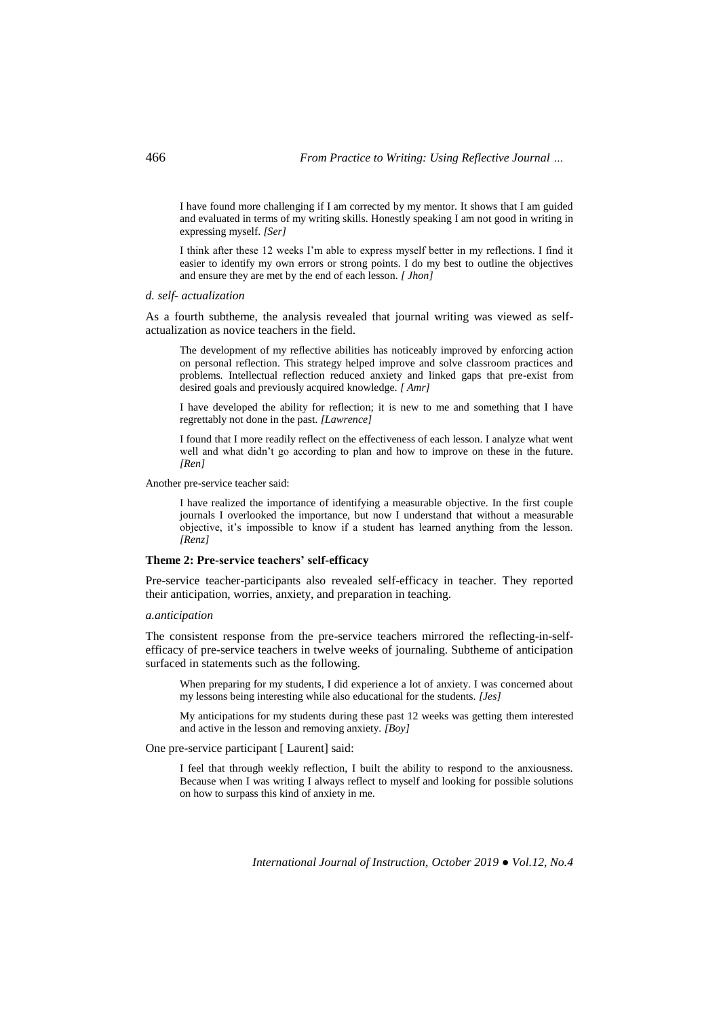I have found more challenging if I am corrected by my mentor. It shows that I am guided and evaluated in terms of my writing skills. Honestly speaking I am not good in writing in expressing myself. *[Ser]*

I think after these 12 weeks I'm able to express myself better in my reflections. I find it easier to identify my own errors or strong points. I do my best to outline the objectives and ensure they are met by the end of each lesson. *[ Jhon]*

*d. self- actualization*

As a fourth subtheme, the analysis revealed that journal writing was viewed as selfactualization as novice teachers in the field.

The development of my reflective abilities has noticeably improved by enforcing action on personal reflection. This strategy helped improve and solve classroom practices and problems. Intellectual reflection reduced anxiety and linked gaps that pre-exist from desired goals and previously acquired knowledge. *[ Amr]*

I have developed the ability for reflection; it is new to me and something that I have regrettably not done in the past*. [Lawrence]*

I found that I more readily reflect on the effectiveness of each lesson. I analyze what went well and what didn't go according to plan and how to improve on these in the future. *[Ren]*

Another pre-service teacher said:

I have realized the importance of identifying a measurable objective. In the first couple journals I overlooked the importance, but now I understand that without a measurable objective, it's impossible to know if a student has learned anything from the lesson. *[Renz]*

#### **Theme 2: Pre-service teachers' self-efficacy**

Pre-service teacher-participants also revealed self-efficacy in teacher. They reported their anticipation, worries, anxiety, and preparation in teaching.

### *a.anticipation*

The consistent response from the pre-service teachers mirrored the reflecting-in-selfefficacy of pre-service teachers in twelve weeks of journaling. Subtheme of anticipation surfaced in statements such as the following.

When preparing for my students, I did experience a lot of anxiety. I was concerned about my lessons being interesting while also educational for the students. *[Jes]*

My anticipations for my students during these past 12 weeks was getting them interested and active in the lesson and removing anxiety. *[Boy]*

One pre-service participant [ Laurent] said:

I feel that through weekly reflection, I built the ability to respond to the anxiousness. Because when I was writing I always reflect to myself and looking for possible solutions on how to surpass this kind of anxiety in me.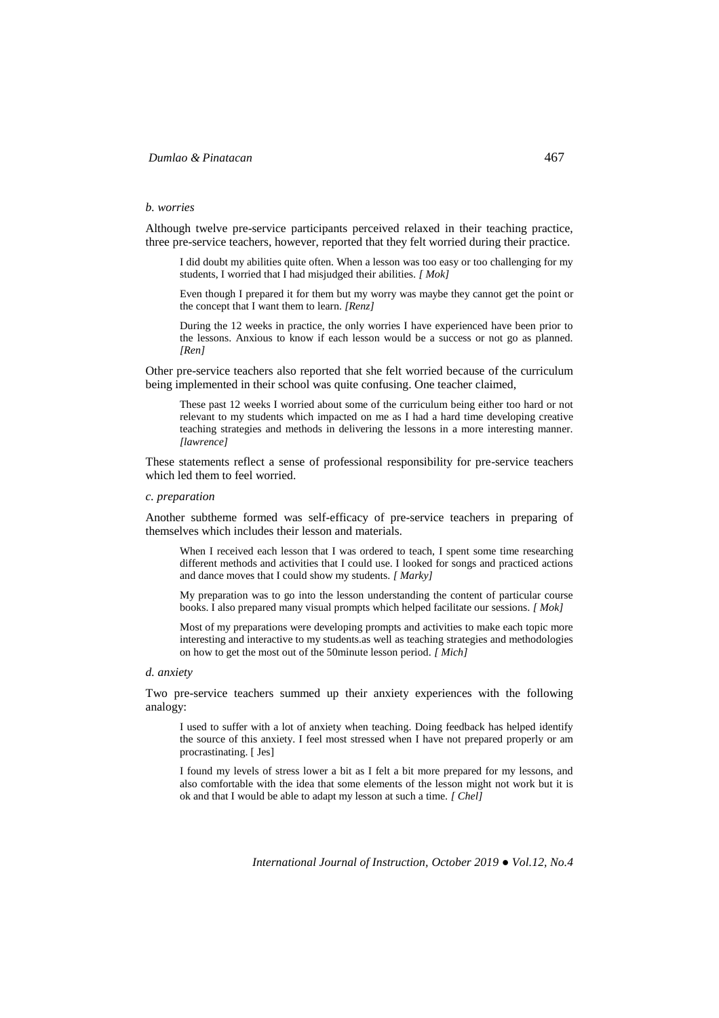#### *b. worries*

Although twelve pre-service participants perceived relaxed in their teaching practice, three pre-service teachers, however, reported that they felt worried during their practice.

I did doubt my abilities quite often. When a lesson was too easy or too challenging for my students, I worried that I had misjudged their abilities*. [ Mok]*

Even though I prepared it for them but my worry was maybe they cannot get the point or the concept that I want them to learn. *[Renz]*

During the 12 weeks in practice, the only worries I have experienced have been prior to the lessons. Anxious to know if each lesson would be a success or not go as planned. *[Ren]*

Other pre-service teachers also reported that she felt worried because of the curriculum being implemented in their school was quite confusing. One teacher claimed,

These past 12 weeks I worried about some of the curriculum being either too hard or not relevant to my students which impacted on me as I had a hard time developing creative teaching strategies and methods in delivering the lessons in a more interesting manner. *[lawrence]*

These statements reflect a sense of professional responsibility for pre-service teachers which led them to feel worried.

### *c. preparation*

Another subtheme formed was self-efficacy of pre-service teachers in preparing of themselves which includes their lesson and materials.

When I received each lesson that I was ordered to teach, I spent some time researching different methods and activities that I could use. I looked for songs and practiced actions and dance moves that I could show my students. *[ Marky]*

My preparation was to go into the lesson understanding the content of particular course books. I also prepared many visual prompts which helped facilitate our sessions*. [ Mok]*

Most of my preparations were developing prompts and activities to make each topic more interesting and interactive to my students.as well as teaching strategies and methodologies on how to get the most out of the 50minute lesson period. *[ Mich]*

#### *d. anxiety*

Two pre-service teachers summed up their anxiety experiences with the following analogy:

I used to suffer with a lot of anxiety when teaching. Doing feedback has helped identify the source of this anxiety. I feel most stressed when I have not prepared properly or am procrastinating. [ Jes]

I found my levels of stress lower a bit as I felt a bit more prepared for my lessons, and also comfortable with the idea that some elements of the lesson might not work but it is ok and that I would be able to adapt my lesson at such a time. *[ Chel]*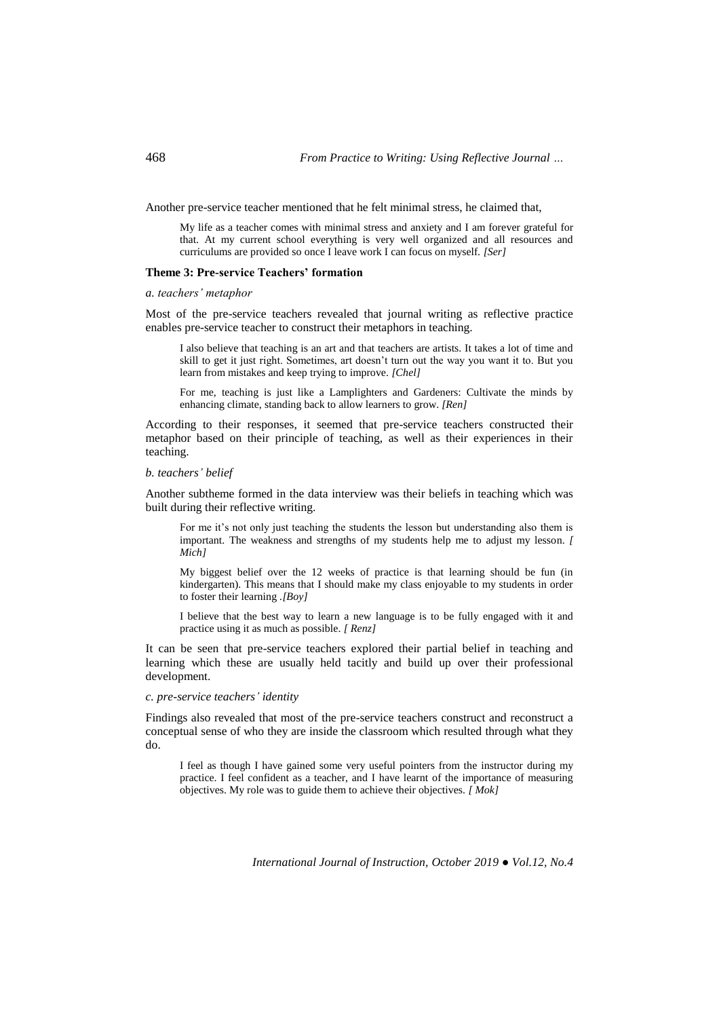Another pre-service teacher mentioned that he felt minimal stress, he claimed that,

My life as a teacher comes with minimal stress and anxiety and I am forever grateful for that. At my current school everything is very well organized and all resources and curriculums are provided so once I leave work I can focus on myself. *[Ser]*

# **Theme 3: Pre-service Teachers' formation**

*a. teachers' metaphor*

Most of the pre-service teachers revealed that journal writing as reflective practice enables pre-service teacher to construct their metaphors in teaching.

I also believe that teaching is an art and that teachers are artists. It takes a lot of time and skill to get it just right. Sometimes, art doesn't turn out the way you want it to. But you learn from mistakes and keep trying to improve. *[Chel]*

For me, teaching is just like a Lamplighters and Gardeners: Cultivate the minds by enhancing climate, standing back to allow learners to grow. *[Ren]*

According to their responses, it seemed that pre-service teachers constructed their metaphor based on their principle of teaching, as well as their experiences in their teaching.

## *b. teachers' belief*

Another subtheme formed in the data interview was their beliefs in teaching which was built during their reflective writing.

For me it's not only just teaching the students the lesson but understanding also them is important. The weakness and strengths of my students help me to adjust my lesson. *[ Mich]*

My biggest belief over the 12 weeks of practice is that learning should be fun (in kindergarten). This means that I should make my class enjoyable to my students in order to foster their learning *.[Boy]*

I believe that the best way to learn a new language is to be fully engaged with it and practice using it as much as possible. *[ Renz]*

It can be seen that pre-service teachers explored their partial belief in teaching and learning which these are usually held tacitly and build up over their professional development.

## *c. pre-service teachers' identity*

Findings also revealed that most of the pre-service teachers construct and reconstruct a conceptual sense of who they are inside the classroom which resulted through what they do.

I feel as though I have gained some very useful pointers from the instructor during my practice. I feel confident as a teacher, and I have learnt of the importance of measuring objectives. My role was to guide them to achieve their objectives. *[ Mok]*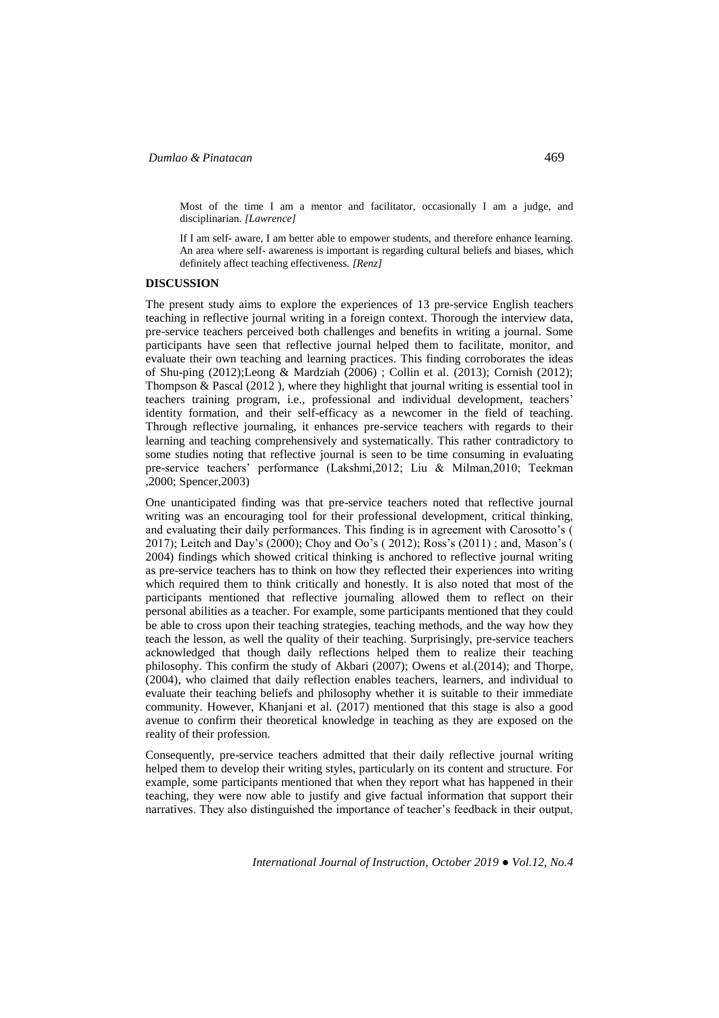Most of the time I am a mentor and facilitator, occasionally I am a judge, and disciplinarian. *[Lawrence]*

If I am self- aware, I am better able to empower students, and therefore enhance learning. An area where self- awareness is important is regarding cultural beliefs and biases, which definitely affect teaching effectiveness*. [Renz]*

### **DISCUSSION**

The present study aims to explore the experiences of 13 pre-service English teachers teaching in reflective journal writing in a foreign context. Thorough the interview data, pre-service teachers perceived both challenges and benefits in writing a journal. Some participants have seen that reflective journal helped them to facilitate, monitor, and evaluate their own teaching and learning practices. This finding corroborates the ideas of Shu-ping (2012);Leong & Mardziah (2006) ; Collin et al. (2013); Cornish (2012); Thompson & Pascal (2012 ), where they highlight that journal writing is essential tool in teachers training program, i.e., professional and individual development, teachers' identity formation, and their self-efficacy as a newcomer in the field of teaching. Through reflective journaling, it enhances pre-service teachers with regards to their learning and teaching comprehensively and systematically. This rather contradictory to some studies noting that reflective journal is seen to be time consuming in evaluating pre-service teachers' performance (Lakshmi,2012; Liu & Milman,2010; Teekman ,2000; Spencer,2003)

One unanticipated finding was that pre-service teachers noted that reflective journal writing was an encouraging tool for their professional development, critical thinking, and evaluating their daily performances. This finding is in agreement with Carosotto's ( 2017); Leitch and Day's (2000); Choy and Oo's ( 2012); Ross's (2011) ; and, Mason's ( 2004) findings which showed critical thinking is anchored to reflective journal writing as pre-service teachers has to think on how they reflected their experiences into writing which required them to think critically and honestly. It is also noted that most of the participants mentioned that reflective journaling allowed them to reflect on their personal abilities as a teacher. For example, some participants mentioned that they could be able to cross upon their teaching strategies, teaching methods, and the way how they teach the lesson, as well the quality of their teaching. Surprisingly, pre-service teachers acknowledged that though daily reflections helped them to realize their teaching philosophy. This confirm the study of Akbari (2007); Owens et al.(2014); and Thorpe, (2004), who claimed that daily reflection enables teachers, learners, and individual to evaluate their teaching beliefs and philosophy whether it is suitable to their immediate community. However, Khanjani et al. (2017) mentioned that this stage is also a good avenue to confirm their theoretical knowledge in teaching as they are exposed on the reality of their profession.

Consequently, pre-service teachers admitted that their daily reflective journal writing helped them to develop their writing styles, particularly on its content and structure. For example, some participants mentioned that when they report what has happened in their teaching, they were now able to justify and give factual information that support their narratives. They also distinguished the importance of teacher's feedback in their output,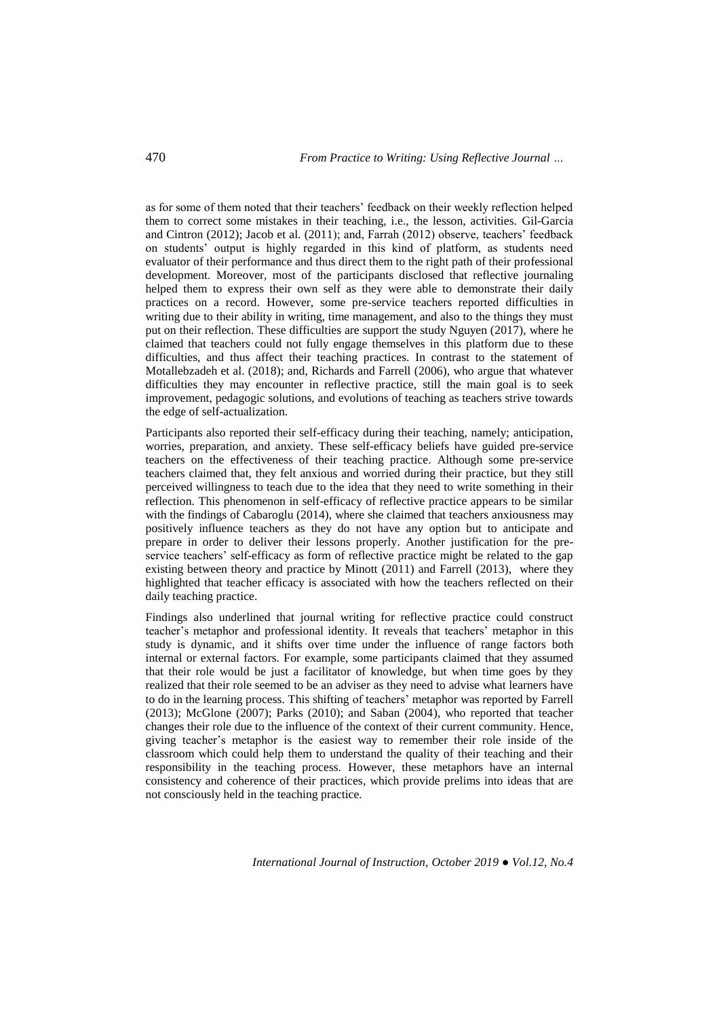as for some of them noted that their teachers' feedback on their weekly reflection helped them to correct some mistakes in their teaching, i.e., the lesson, activities. Gil-Garcia and Cintron (2012); Jacob et al. (2011); and, Farrah (2012) observe, teachers' feedback on students' output is highly regarded in this kind of platform, as students need evaluator of their performance and thus direct them to the right path of their professional development. Moreover, most of the participants disclosed that reflective journaling helped them to express their own self as they were able to demonstrate their daily practices on a record. However, some pre-service teachers reported difficulties in writing due to their ability in writing, time management, and also to the things they must put on their reflection. These difficulties are support the study Nguyen (2017), where he claimed that teachers could not fully engage themselves in this platform due to these difficulties, and thus affect their teaching practices. In contrast to the statement of Motallebzadeh et al. (2018); and, Richards and Farrell (2006), who argue that whatever difficulties they may encounter in reflective practice, still the main goal is to seek improvement, pedagogic solutions, and evolutions of teaching as teachers strive towards the edge of self-actualization.

Participants also reported their self-efficacy during their teaching, namely; anticipation, worries, preparation, and anxiety. These self-efficacy beliefs have guided pre-service teachers on the effectiveness of their teaching practice. Although some pre-service teachers claimed that, they felt anxious and worried during their practice, but they still perceived willingness to teach due to the idea that they need to write something in their reflection. This phenomenon in self-efficacy of reflective practice appears to be similar with the findings of Cabaroglu (2014), where she claimed that teachers anxiousness may positively influence teachers as they do not have any option but to anticipate and prepare in order to deliver their lessons properly. Another justification for the preservice teachers' self-efficacy as form of reflective practice might be related to the gap existing between theory and practice by Minott (2011) and Farrell (2013), where they highlighted that teacher efficacy is associated with how the teachers reflected on their daily teaching practice.

Findings also underlined that journal writing for reflective practice could construct teacher's metaphor and professional identity. It reveals that teachers' metaphor in this study is dynamic, and it shifts over time under the influence of range factors both internal or external factors. For example, some participants claimed that they assumed that their role would be just a facilitator of knowledge, but when time goes by they realized that their role seemed to be an adviser as they need to advise what learners have to do in the learning process. This shifting of teachers' metaphor was reported by Farrell (2013); McGlone (2007); Parks (2010); and Saban (2004), who reported that teacher changes their role due to the influence of the context of their current community. Hence, giving teacher's metaphor is the easiest way to remember their role inside of the classroom which could help them to understand the quality of their teaching and their responsibility in the teaching process. However, these metaphors have an internal consistency and coherence of their practices, which provide prelims into ideas that are not consciously held in the teaching practice.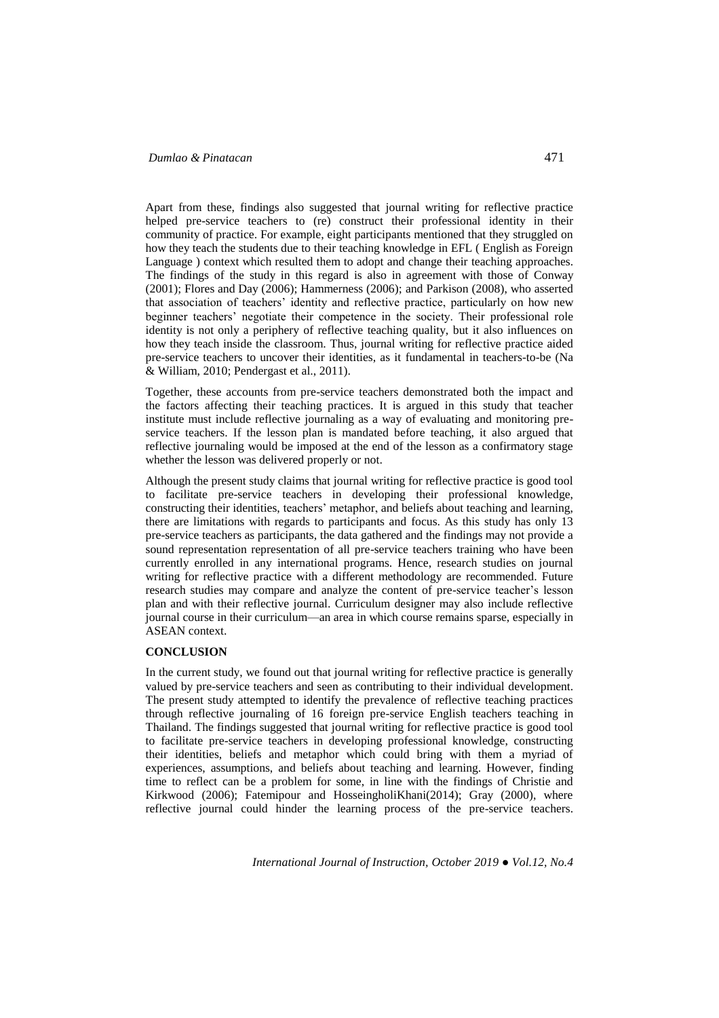Apart from these, findings also suggested that journal writing for reflective practice helped pre-service teachers to (re) construct their professional identity in their community of practice. For example, eight participants mentioned that they struggled on how they teach the students due to their teaching knowledge in EFL ( English as Foreign Language ) context which resulted them to adopt and change their teaching approaches. The findings of the study in this regard is also in agreement with those of Conway (2001); Flores and Day (2006); Hammerness (2006); and Parkison (2008), who asserted that association of teachers' identity and reflective practice, particularly on how new beginner teachers' negotiate their competence in the society. Their professional role identity is not only a periphery of reflective teaching quality, but it also influences on how they teach inside the classroom. Thus, journal writing for reflective practice aided pre-service teachers to uncover their identities, as it fundamental in teachers-to-be (Na & William, 2010; Pendergast et al., 2011).

Together, these accounts from pre-service teachers demonstrated both the impact and the factors affecting their teaching practices. It is argued in this study that teacher institute must include reflective journaling as a way of evaluating and monitoring preservice teachers. If the lesson plan is mandated before teaching, it also argued that reflective journaling would be imposed at the end of the lesson as a confirmatory stage whether the lesson was delivered properly or not.

Although the present study claims that journal writing for reflective practice is good tool to facilitate pre-service teachers in developing their professional knowledge, constructing their identities, teachers' metaphor, and beliefs about teaching and learning, there are limitations with regards to participants and focus. As this study has only 13 pre-service teachers as participants, the data gathered and the findings may not provide a sound representation representation of all pre-service teachers training who have been currently enrolled in any international programs. Hence, research studies on journal writing for reflective practice with a different methodology are recommended. Future research studies may compare and analyze the content of pre-service teacher's lesson plan and with their reflective journal. Curriculum designer may also include reflective journal course in their curriculum—an area in which course remains sparse, especially in ASEAN context.

### **CONCLUSION**

In the current study, we found out that journal writing for reflective practice is generally valued by pre-service teachers and seen as contributing to their individual development. The present study attempted to identify the prevalence of reflective teaching practices through reflective journaling of 16 foreign pre-service English teachers teaching in Thailand. The findings suggested that journal writing for reflective practice is good tool to facilitate pre-service teachers in developing professional knowledge, constructing their identities, beliefs and metaphor which could bring with them a myriad of experiences, assumptions, and beliefs about teaching and learning. However, finding time to reflect can be a problem for some, in line with the findings of Christie and Kirkwood (2006); Fatemipour and HosseingholiKhani(2014); Gray (2000), where reflective journal could hinder the learning process of the pre-service teachers.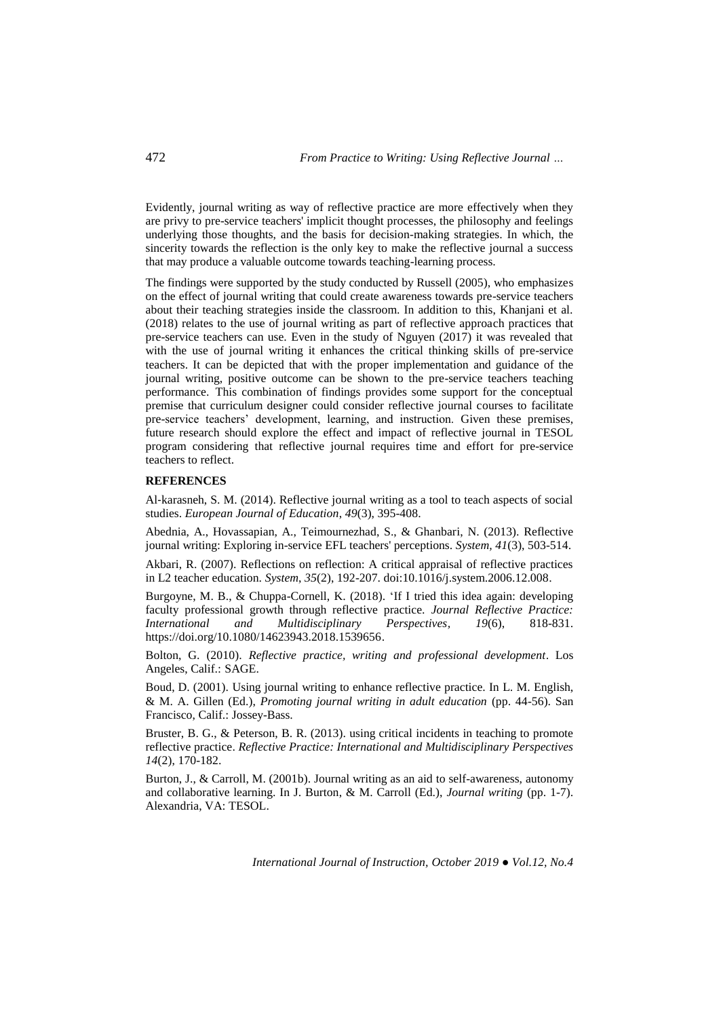Evidently, journal writing as way of reflective practice are more effectively when they are privy to pre-service teachers' implicit thought processes, the philosophy and feelings underlying those thoughts, and the basis for decision-making strategies. In which, the sincerity towards the reflection is the only key to make the reflective journal a success that may produce a valuable outcome towards teaching-learning process.

The findings were supported by the study conducted by Russell (2005), who emphasizes on the effect of journal writing that could create awareness towards pre-service teachers about their teaching strategies inside the classroom. In addition to this, Khanjani et al. (2018) relates to the use of journal writing as part of reflective approach practices that pre-service teachers can use. Even in the study of Nguyen (2017) it was revealed that with the use of journal writing it enhances the critical thinking skills of pre-service teachers. It can be depicted that with the proper implementation and guidance of the journal writing, positive outcome can be shown to the pre-service teachers teaching performance. This combination of findings provides some support for the conceptual premise that curriculum designer could consider reflective journal courses to facilitate pre-service teachers' development, learning, and instruction. Given these premises, future research should explore the effect and impact of reflective journal in TESOL program considering that reflective journal requires time and effort for pre-service teachers to reflect.

#### **REFERENCES**

Al-karasneh, S. M. (2014). Reflective journal writing as a tool to teach aspects of social studies. *European Journal of Education*, *49*(3), 395-408.

Abednia, A., Hovassapian, A., Teimournezhad, S., & Ghanbari, N. (2013). Reflective journal writing: Exploring in-service EFL teachers' perceptions. *System, 41*(3), 503-514.

Akbari, R. (2007). Reflections on reflection: A critical appraisal of reflective practices in L2 teacher education. *System*, *35*(2), 192-207. doi:10.1016/j.system.2006.12.008.

Burgoyne, M. B., & Chuppa-Cornell, K. (2018). 'If I tried this idea again: developing faculty professional growth through reflective practice. *Journal Reflective Practice: International and Multidisciplinary Perspectives, 19*(6), 818-831. https://doi.org/10.1080/14623943.2018.1539656.

Bolton, G. (2010). *Reflective practice, writing and professional development*. Los Angeles, Calif.: SAGE.

Boud, D. (2001). Using journal writing to enhance reflective practice. In L. M. English, & M. A. Gillen (Ed.), *Promoting journal writing in adult education* (pp. 44-56). San Francisco, Calif.: Jossey-Bass.

Bruster, B. G., & Peterson, B. R. (2013). using critical incidents in teaching to promote reflective practice. *Reflective Practice: International and Multidisciplinary Perspectives 14*(2), 170-182.

Burton, J., & Carroll, M. (2001b). Journal writing as an aid to self-awareness, autonomy and collaborative learning. In J. Burton, & M. Carroll (Ed.), *Journal writing* (pp. 1-7). Alexandria, VA: TESOL.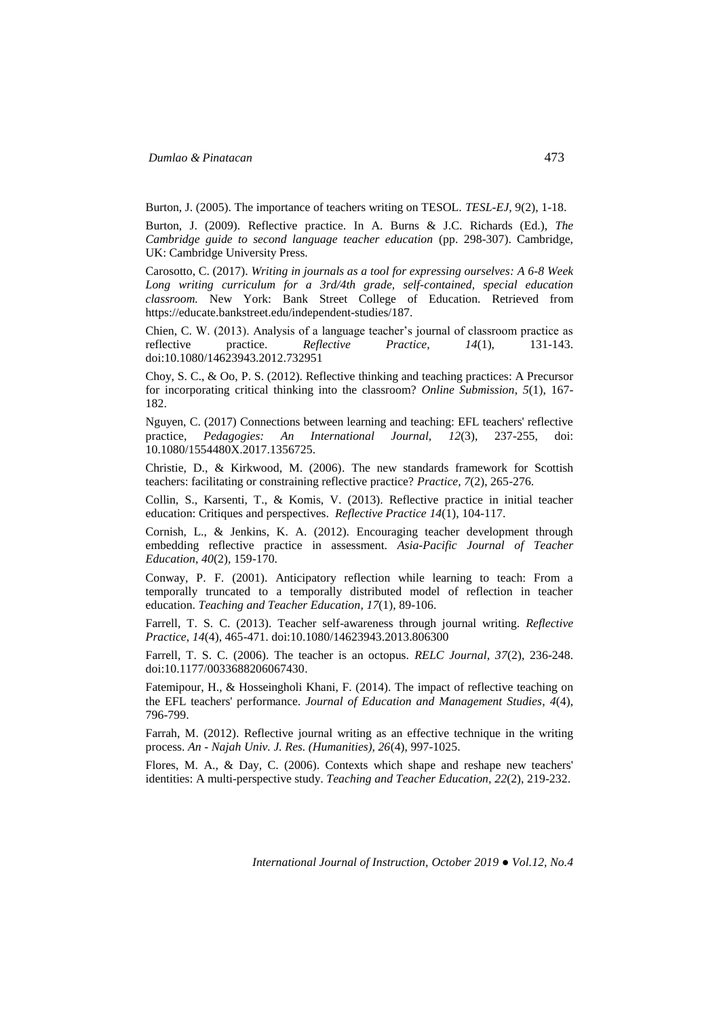Burton, J. (2005). The importance of teachers writing on TESOL. *TESL-EJ,* 9(2), 1-18.

Burton, J. (2009). Reflective practice. In A. Burns & J.C. Richards (Ed.), *The Cambridge guide to second language teacher education* (pp. 298-307). Cambridge, UK: Cambridge University Press.

Carosotto, C. (2017). *Writing in journals as a tool for expressing ourselves: A 6-8 Week Long writing curriculum for a 3rd/4th grade, self-contained, special education classroom.* New York: Bank Street College of Education. Retrieved from https://educate.bankstreet.edu/independent-studies/187.

Chien, C. W. (2013). Analysis of a language teacher's journal of classroom practice as reflective practice. *Reflective Practice*, *14*(1), 131-143. doi:10.1080/14623943.2012.732951

Choy, S. C., & Oo, P. S. (2012). Reflective thinking and teaching practices: A Precursor for incorporating critical thinking into the classroom? *Online Submission*, *5*(1), 167- 182.

Nguyen, C. (2017) Connections between learning and teaching: EFL teachers' reflective practice, *Pedagogies: An International Journal, 12*(3), 237-255, doi: 10.1080/1554480X.2017.1356725.

Christie, D., & Kirkwood, M. (2006). The new standards framework for Scottish teachers: facilitating or constraining reflective practice? *Practice*, *7*(2), 265-276.

Collin, S., Karsenti, T., & Komis, V. (2013). Reflective practice in initial teacher education: Critiques and perspectives. *Reflective Practice 14*(1), 104-117.

Cornish, L., & Jenkins, K. A. (2012). Encouraging teacher development through embedding reflective practice in assessment. *Asia-Pacific Journal of Teacher Education*, *40*(2), 159-170.

Conway, P. F. (2001). Anticipatory reflection while learning to teach: From a temporally truncated to a temporally distributed model of reflection in teacher education. *Teaching and Teacher Education*, *17*(1), 89-106.

Farrell, T. S. C. (2013). Teacher self-awareness through journal writing. *Reflective Practice*, *14*(4), 465-471. doi:10.1080/14623943.2013.806300

Farrell, T. S. C. (2006). The teacher is an octopus. *RELC Journal, 37*(2), 236-248. doi:10.1177/0033688206067430.

Fatemipour, H., & Hosseingholi Khani, F. (2014). The impact of reflective teaching on the EFL teachers' performance. *Journal of Education and Management Studies*, *4*(4), 796-799.

Farrah, M. (2012). Reflective journal writing as an effective technique in the writing process. *An - Najah Univ. J. Res. (Humanities), 26*(4), 997-1025.

Flores, M. A., & Day, C. (2006). Contexts which shape and reshape new teachers' identities: A multi-perspective study. *Teaching and Teacher Education, 22*(2), 219-232.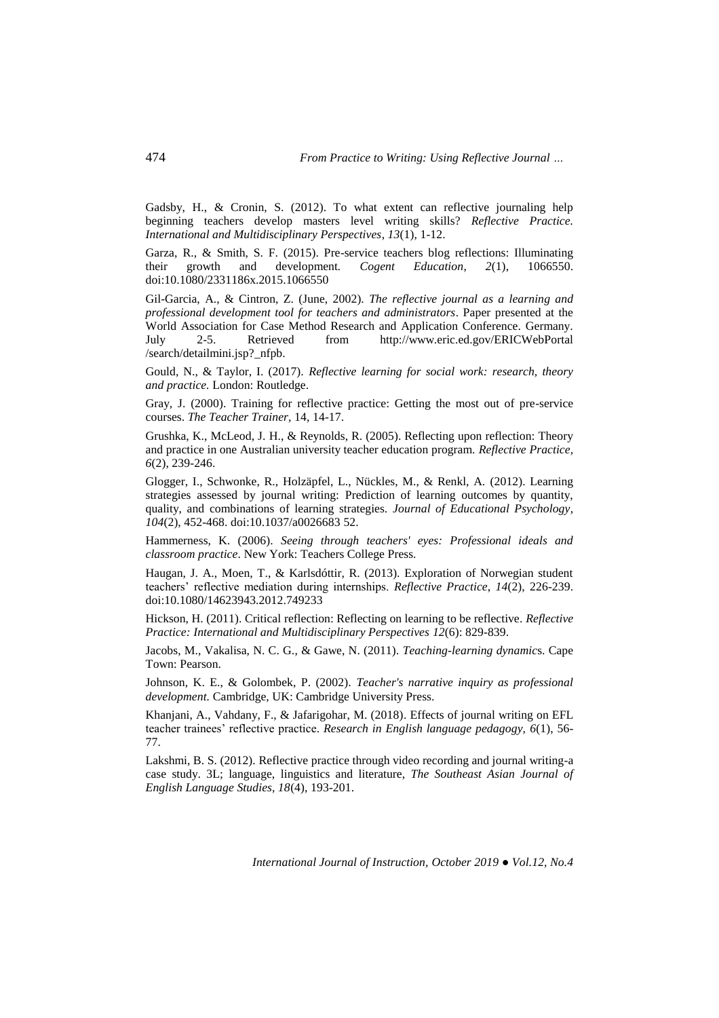Gadsby, H., & Cronin, S. (2012). To what extent can reflective journaling help beginning teachers develop masters level writing skills? *Reflective Practice. International and Multidisciplinary Perspectives*, *13*(1), 1-12.

Garza, R., & Smith, S. F. (2015). Pre-service teachers blog reflections: Illuminating their growth and development*. Cogent Education*, *2*(1), 1066550. doi:10.1080/2331186x.2015.1066550

Gil-Garcia, A., & Cintron, Z. (June, 2002). *The reflective journal as a learning and professional development tool for teachers and administrators*. Paper presented at the World Association for Case Method Research and Application Conference. Germany. July 2-5. Retrieved from http://www.eric.ed.gov/ERICWebPortal /search/detailmini.jsp?\_nfpb.

Gould, N., & Taylor, I. (2017). *Reflective learning for social work: research, theory and practice.* London: Routledge.

Gray, J. (2000). Training for reflective practice: Getting the most out of pre-service courses. *The Teacher Trainer,* 14, 14-17.

Grushka, K., McLeod, J. H., & Reynolds, R. (2005). Reflecting upon reflection: Theory and practice in one Australian university teacher education program. *Reflective Practice, 6*(2), 239-246.

Glogger, I., Schwonke, R., Holzäpfel, L., Nückles, M., & Renkl, A. (2012). Learning strategies assessed by journal writing: Prediction of learning outcomes by quantity, quality, and combinations of learning strategies. *Journal of Educational Psychology*, *104*(2), 452-468. doi:10.1037/a0026683 52.

Hammerness, K. (2006). *Seeing through teachers' eyes: Professional ideals and classroom practice*. New York: Teachers College Press.

Haugan, J. A., Moen, T., & Karlsdóttir, R. (2013). Exploration of Norwegian student teachers' reflective mediation during internships. *Reflective Practice*, *14*(2), 226-239. doi:10.1080/14623943.2012.749233

Hickson, H. (2011). Critical reflection: Reflecting on learning to be reflective. *Reflective Practice: International and Multidisciplinary Perspectives 12*(6): 829-839.

Jacobs, M., Vakalisa, N. C. G., & Gawe, N. (2011). *Teaching-learning dynamic*s. Cape Town: Pearson.

Johnson, K. E., & Golombek, P. (2002). *Teacher's narrative inquiry as professional development.* Cambridge, UK: Cambridge University Press.

Khanjani, A., Vahdany, F., & Jafarigohar, M. (2018). Effects of journal writing on EFL teacher trainees' reflective practice. *Research in English language pedagogy, 6*(1), 56- 77.

Lakshmi, B. S. (2012). Reflective practice through video recording and journal writing-a case study. 3L; language, linguistics and literature, *The Southeast Asian Journal of English Language Studies, 18*(4), 193-201.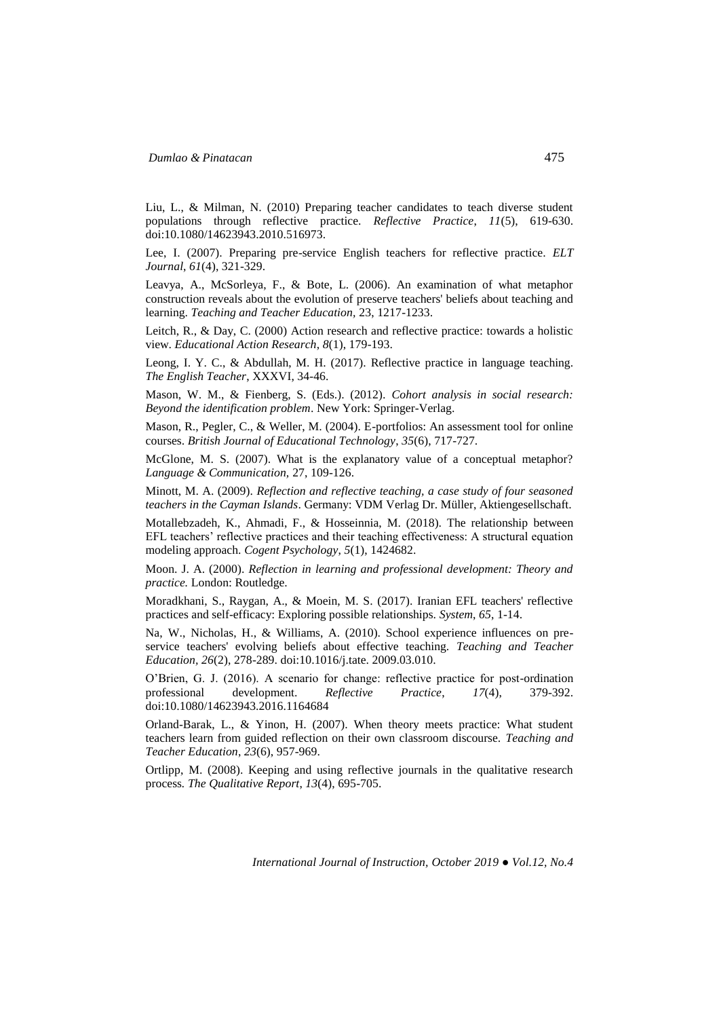Liu, L., & Milman, N. (2010) Preparing teacher candidates to teach diverse student populations through reflective practice. *Reflective Practice*, *11*(5), 619-630. doi:10.1080/14623943.2010.516973.

Lee, I. (2007). Preparing pre-service English teachers for reflective practice. *ELT Journal*, *61*(4), 321-329.

Leavya, A., McSorleya, F., & Bote, L. (2006). An examination of what metaphor construction reveals about the evolution of preserve teachers' beliefs about teaching and learning. *Teaching and Teacher Education,* 23, 1217-1233.

Leitch, R., & Day, C. (2000) Action research and reflective practice: towards a holistic view. *Educational Action Research*, *8*(1), 179-193.

Leong, I. Y. C., & Abdullah, M. H. (2017). Reflective practice in language teaching. *The English Teacher*, XXXVI, 34-46.

Mason, W. M., & Fienberg, S. (Eds.). (2012)*. Cohort analysis in social research: Beyond the identification problem*. New York: Springer-Verlag.

Mason, R., Pegler, C., & Weller, M. (2004). E-portfolios: An assessment tool for online courses. *British Journal of Educational Technology*, *35*(6), 717-727.

McGlone, M. S. (2007). What is the explanatory value of a conceptual metaphor? *Language & Communication,* 27, 109-126.

Minott, M. A. (2009). *Reflection and reflective teaching, a case study of four seasoned teachers in the Cayman Islands*. Germany: VDM Verlag Dr. Müller, Aktiengesellschaft.

Motallebzadeh, K., Ahmadi, F., & Hosseinnia, M. (2018). The relationship between EFL teachers' reflective practices and their teaching effectiveness: A structural equation modeling approach. *Cogent Psychology*, *5*(1), 1424682.

Moon. J. A. (2000). *Reflection in learning and professional development: Theory and practice.* London: Routledge.

Moradkhani, S., Raygan, A., & Moein, M. S. (2017). Iranian EFL teachers' reflective practices and self-efficacy: Exploring possible relationships. *System*, *65*, 1-14.

Na, W., Nicholas, H., & Williams, A. (2010). School experience influences on preservice teachers' evolving beliefs about effective teaching. *Teaching and Teacher Education, 26*(2), 278-289. doi:10.1016/j.tate. 2009.03.010.

O'Brien, G. J. (2016). A scenario for change: reflective practice for post-ordination professional development. *Reflective Practice*, *17*(4), 379-392. doi:10.1080/14623943.2016.1164684

Orland-Barak, L., & Yinon, H. (2007). When theory meets practice: What student teachers learn from guided reflection on their own classroom discourse. *Teaching and Teacher Education*, *23*(6), 957-969.

Ortlipp, M. (2008). Keeping and using reflective journals in the qualitative research process*. The Qualitative Report*, *13*(4), 695-705.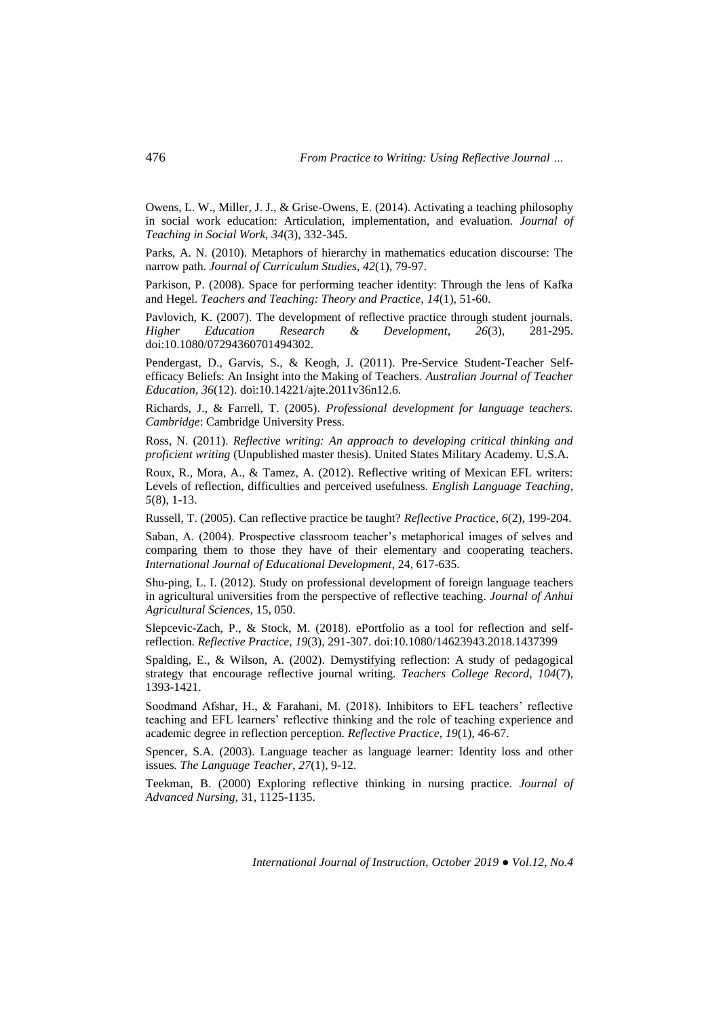Owens, L. W., Miller, J. J., & Grise-Owens, E. (2014). Activating a teaching philosophy in social work education: Articulation, implementation, and evaluation. *Journal of Teaching in Social Work, 34*(3), 332-345.

Parks, A. N. (2010). Metaphors of hierarchy in mathematics education discourse: The narrow path. *Journal of Curriculum Studies*, *42*(1), 79-97.

Parkison, P. (2008). Space for performing teacher identity: Through the lens of Kafka and Hegel. *Teachers and Teaching: Theory and Practice, 14*(1), 51-60.

Pavlovich, K. (2007). The development of reflective practice through student journals. *Higher Education Research & Development*, *26*(3), 281-295. doi:10.1080/07294360701494302.

Pendergast, D., Garvis, S., & Keogh, J. (2011). Pre-Service Student-Teacher Selfefficacy Beliefs: An Insight into the Making of Teachers. *Australian Journal of Teacher Education, 36*(12). doi:10.14221/ajte.2011v36n12.6.

Richards, J., & Farrell, T. (2005). *Professional development for language teachers. Cambridge*: Cambridge University Press.

Ross, N. (2011). *Reflective writing: An approach to developing critical thinking and proficient writing* (Unpublished master thesis). United States Military Academy. U.S.A.

Roux, R., Mora, A., & Tamez, A. (2012). Reflective writing of Mexican EFL writers: Levels of reflection, difficulties and perceived usefulness. *English Language Teaching*, *5*(8), 1-13.

Russell, T. (2005). Can reflective practice be taught? *Reflective Practice*, *6*(2), 199-204.

Saban, A. (2004). Prospective classroom teacher's metaphorical images of selves and comparing them to those they have of their elementary and cooperating teachers. *International Journal of Educational Development*, 24, 617-635.

Shu-ping, L. I. (2012). Study on professional development of foreign language teachers in agricultural universities from the perspective of reflective teaching. *Journal of Anhui Agricultural Sciences*, 15, 050.

Slepcevic-Zach, P., & Stock, M. (2018). ePortfolio as a tool for reflection and selfreflection. *Reflective Practice, 19*(3), 291-307. doi:10.1080/14623943.2018.1437399

Spalding, E., & Wilson, A. (2002). Demystifying reflection: A study of pedagogical strategy that encourage reflective journal writing. *Teachers College Record*, *104*(7), 1393-1421.

Soodmand Afshar, H., & Farahani, M. (2018). Inhibitors to EFL teachers' reflective teaching and EFL learners' reflective thinking and the role of teaching experience and academic degree in reflection perception. *Reflective Practice*, *19*(1), 46-67.

Spencer, S.A. (2003). Language teacher as language learner: Identity loss and other issues*. The Language Teacher*, *27*(1), 9-12.

Teekman, B. (2000) Exploring reflective thinking in nursing practice. *Journal of Advanced Nursing,* 31, 1125-1135.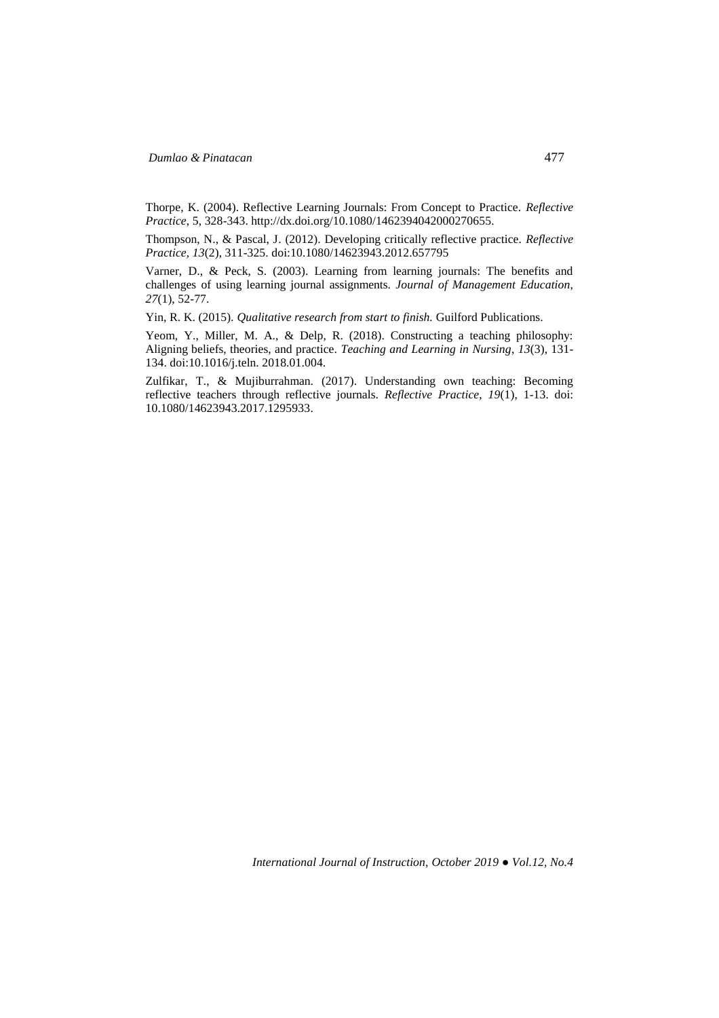Thorpe, K. (2004). Reflective Learning Journals: From Concept to Practice. *Reflective Practice*, 5, 328-343. http://dx.doi.org/10.1080/1462394042000270655.

Thompson, N., & Pascal, J. (2012). Developing critically reflective practice. *Reflective Practice, 13*(2), 311-325. doi:10.1080/14623943.2012.657795

Varner, D., & Peck, S. (2003). Learning from learning journals: The benefits and challenges of using learning journal assignments. *Journal of Management Education, 27*(1), 52-77.

Yin, R. K. (2015)*. Qualitative research from start to finish.* Guilford Publications.

Yeom, Y., Miller, M. A., & Delp, R. (2018). Constructing a teaching philosophy: Aligning beliefs, theories, and practice. *Teaching and Learning in Nursing*, *13*(3), 131- 134. doi:10.1016/j.teln. 2018.01.004.

Zulfikar, T., & Mujiburrahman. (2017). Understanding own teaching: Becoming reflective teachers through reflective journals. *Reflective Practice*, *19*(1), 1-13. doi: 10.1080/14623943.2017.1295933.